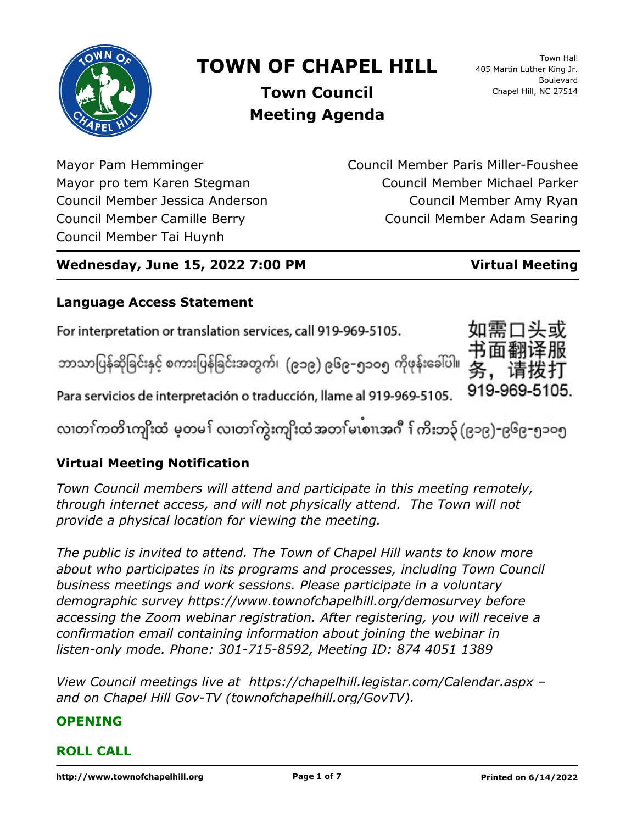

# **TOWN OF CHAPEL HILL**

Town Hall 405 Martin Luther King Jr. Boulevard Chapel Hill, NC 27514

**Town Council Meeting Agenda**

Mayor Pam Hemminger Mayor pro tem Karen Stegman Council Member Jessica Anderson Council Member Camille Berry Council Member Tai Huynh

Council Member Paris Miller-Foushee Council Member Michael Parker Council Member Amy Ryan Council Member Adam Searing

# **Wednesday, June 15, 2022 7:00 PM Virtual Meeting**

919-969-5105.

# **Language Access Statement**

For interpretation or translation services, call 919-969-5105.

ဘာသာပြန်ဆိုခြင်းနှင့် စကားပြန်ခြင်းအတွက်၊ (၉၁၉) ၉၆၉–၅၁ဝ၅ ကိုဖုန်းခေါ်ပါ။

Para servicios de interpretación o traducción, llame al 919-969-5105.

လ၊တၢ်ကတိၤကျိးထံ မ့တမ႑် လ၊တၢ်ကွဲးကျိးထံအတၤ်မၤစၢ၊အဂီ ႑်ကိးဘ၃် (၉၁၉)-၉၆၉-၅၁၀၅

# **Virtual Meeting Notification**

*Town Council members will attend and participate in this meeting remotely, through internet access, and will not physically attend. The Town will not provide a physical location for viewing the meeting.*

*The public is invited to attend. The Town of Chapel Hill wants to know more about who participates in its programs and processes, including Town Council business meetings and work sessions. Please participate in a voluntary demographic survey https://www.townofchapelhill.org/demosurvey before accessing the Zoom webinar registration. After registering, you will receive a confirmation email containing information about joining the webinar in listen-only mode. Phone: 301-715-8592, Meeting ID: 874 4051 1389*

*View Council meetings live at https://chapelhill.legistar.com/Calendar.aspx – and on Chapel Hill Gov-TV (townofchapelhill.org/GovTV).*

# **OPENING**

# **ROLL CALL**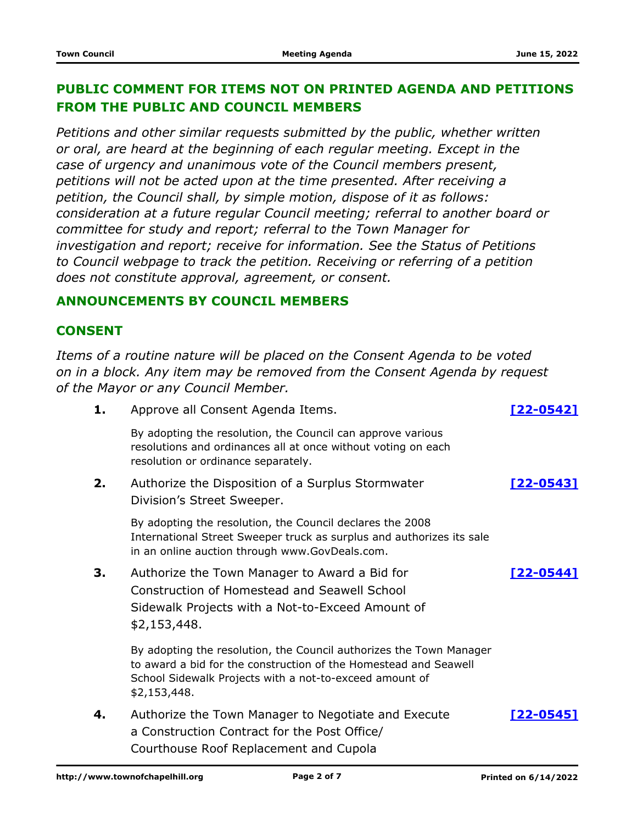# **PUBLIC COMMENT FOR ITEMS NOT ON PRINTED AGENDA AND PETITIONS FROM THE PUBLIC AND COUNCIL MEMBERS**

*Petitions and other similar requests submitted by the public, whether written or oral, are heard at the beginning of each regular meeting. Except in the case of urgency and unanimous vote of the Council members present, petitions will not be acted upon at the time presented. After receiving a petition, the Council shall, by simple motion, dispose of it as follows: consideration at a future regular Council meeting; referral to another board or committee for study and report; referral to the Town Manager for investigation and report; receive for information. See the Status of Petitions to Council webpage to track the petition. Receiving or referring of a petition does not constitute approval, agreement, or consent.*

### **ANNOUNCEMENTS BY COUNCIL MEMBERS**

### **CONSENT**

*Items of a routine nature will be placed on the Consent Agenda to be voted on in a block. Any item may be removed from the Consent Agenda by request of the Mayor or any Council Member.*

| 1. | Approve all Consent Agenda Items.                                                                                                                                                                                  | [22-05421        |
|----|--------------------------------------------------------------------------------------------------------------------------------------------------------------------------------------------------------------------|------------------|
|    | By adopting the resolution, the Council can approve various<br>resolutions and ordinances all at once without voting on each<br>resolution or ordinance separately.                                                |                  |
| 2. | Authorize the Disposition of a Surplus Stormwater<br>Division's Street Sweeper.                                                                                                                                    | <u>[22-0543]</u> |
|    | By adopting the resolution, the Council declares the 2008<br>International Street Sweeper truck as surplus and authorizes its sale<br>in an online auction through www.GovDeals.com.                               |                  |
| 3. | Authorize the Town Manager to Award a Bid for<br><b>Construction of Homestead and Seawell School</b><br>Sidewalk Projects with a Not-to-Exceed Amount of<br>\$2,153,448.                                           | <u>[22-0544]</u> |
|    | By adopting the resolution, the Council authorizes the Town Manager<br>to award a bid for the construction of the Homestead and Seawell<br>School Sidewalk Projects with a not-to-exceed amount of<br>\$2,153,448. |                  |
| 4. | Authorize the Town Manager to Negotiate and Execute<br>a Construction Contract for the Post Office/<br>Courthouse Roof Replacement and Cupola                                                                      | [22-0545]        |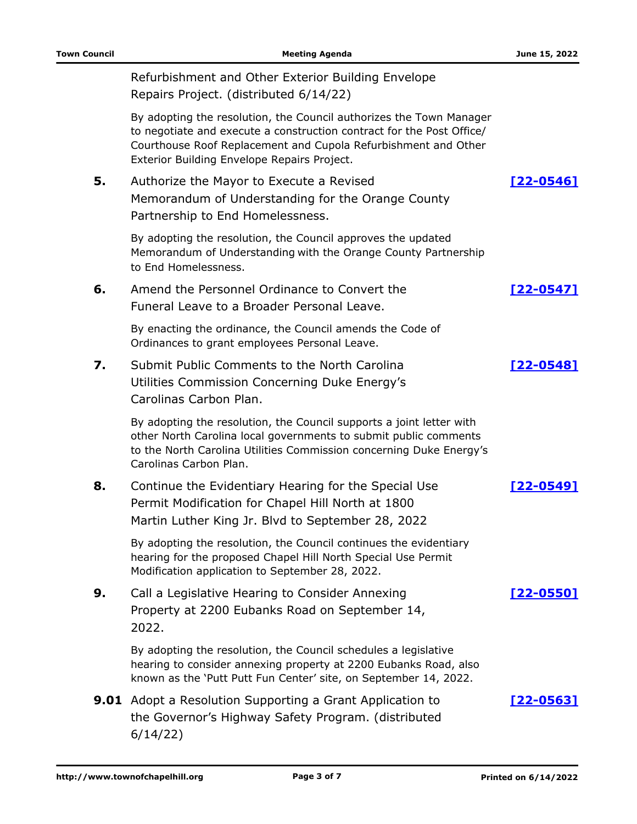|    | Refurbishment and Other Exterior Building Envelope<br>Repairs Project. (distributed 6/14/22)                                                                                                                                                                  |                  |
|----|---------------------------------------------------------------------------------------------------------------------------------------------------------------------------------------------------------------------------------------------------------------|------------------|
|    | By adopting the resolution, the Council authorizes the Town Manager<br>to negotiate and execute a construction contract for the Post Office/<br>Courthouse Roof Replacement and Cupola Refurbishment and Other<br>Exterior Building Envelope Repairs Project. |                  |
| 5. | Authorize the Mayor to Execute a Revised<br>Memorandum of Understanding for the Orange County<br>Partnership to End Homelessness.                                                                                                                             | $[22 - 0546]$    |
|    | By adopting the resolution, the Council approves the updated<br>Memorandum of Understanding with the Orange County Partnership<br>to End Homelessness.                                                                                                        |                  |
| 6. | Amend the Personnel Ordinance to Convert the<br>Funeral Leave to a Broader Personal Leave.                                                                                                                                                                    | <u>[22-0547]</u> |
|    | By enacting the ordinance, the Council amends the Code of<br>Ordinances to grant employees Personal Leave.                                                                                                                                                    |                  |
| 7. | Submit Public Comments to the North Carolina<br>Utilities Commission Concerning Duke Energy's<br>Carolinas Carbon Plan.                                                                                                                                       | [22-0548]        |
|    | By adopting the resolution, the Council supports a joint letter with<br>other North Carolina local governments to submit public comments<br>to the North Carolina Utilities Commission concerning Duke Energy's<br>Carolinas Carbon Plan.                     |                  |
| 8. | Continue the Evidentiary Hearing for the Special Use<br>Permit Modification for Chapel Hill North at 1800<br>Martin Luther King Jr. Blvd to September 28, 2022                                                                                                | <u>[22-0549]</u> |
|    | By adopting the resolution, the Council continues the evidentiary<br>hearing for the proposed Chapel Hill North Special Use Permit<br>Modification application to September 28, 2022.                                                                         |                  |
| 9. | Call a Legislative Hearing to Consider Annexing<br>Property at 2200 Eubanks Road on September 14,<br>2022.                                                                                                                                                    | $[22 - 0550]$    |
|    | By adopting the resolution, the Council schedules a legislative<br>hearing to consider annexing property at 2200 Eubanks Road, also<br>known as the 'Putt Putt Fun Center' site, on September 14, 2022.                                                       |                  |
|    | <b>9.01</b> Adopt a Resolution Supporting a Grant Application to<br>the Governor's Highway Safety Program. (distributed<br>6/14/22)                                                                                                                           | <u>[22-0563]</u> |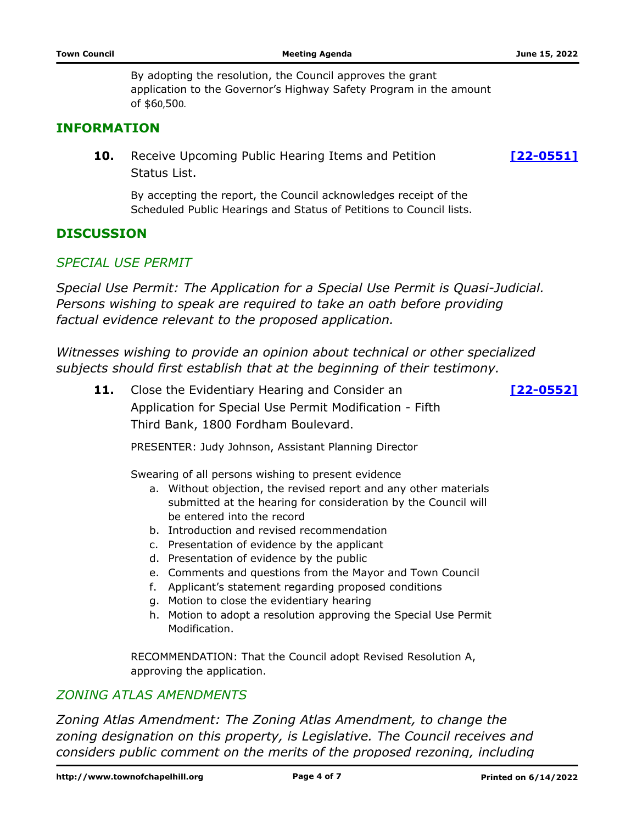By adopting the resolution, the Council approves the grant application to the Governor's Highway Safety Program in the amount of \$60,500.

### **INFORMATION**

**10.** Receive Upcoming Public Hearing Items and Petition **10. [\[22-0551\]](http://chapelhill.legistar.com/gateway.aspx?m=l&id=/matter.aspx?key=7462)** Status List.

By accepting the report, the Council acknowledges receipt of the Scheduled Public Hearings and Status of Petitions to Council lists.

#### **DISCUSSION**

#### *SPECIAL USE PERMIT*

*Special Use Permit: The Application for a Special Use Permit is Quasi-Judicial. Persons wishing to speak are required to take an oath before providing factual evidence relevant to the proposed application.*

*Witnesses wishing to provide an opinion about technical or other specialized subjects should first establish that at the beginning of their testimony.*

Close the Evidentiary Hearing and Consider an **11. [\[22-0552\]](http://chapelhill.legistar.com/gateway.aspx?m=l&id=/matter.aspx?key=8059)** Application for Special Use Permit Modification - Fifth Third Bank, 1800 Fordham Boulevard.

PRESENTER: Judy Johnson, Assistant Planning Director

Swearing of all persons wishing to present evidence

- a. Without objection, the revised report and any other materials submitted at the hearing for consideration by the Council will be entered into the record
- b. Introduction and revised recommendation
- c. Presentation of evidence by the applicant
- d. Presentation of evidence by the public
- e. Comments and questions from the Mayor and Town Council
- f. Applicant's statement regarding proposed conditions
- g. Motion to close the evidentiary hearing
- h. Motion to adopt a resolution approving the Special Use Permit Modification.

RECOMMENDATION: That the Council adopt Revised Resolution A, approving the application.

#### *ZONING ATLAS AMENDMENTS*

*Zoning Atlas Amendment: The Zoning Atlas Amendment, to change the zoning designation on this property, is Legislative. The Council receives and considers public comment on the merits of the proposed rezoning, including*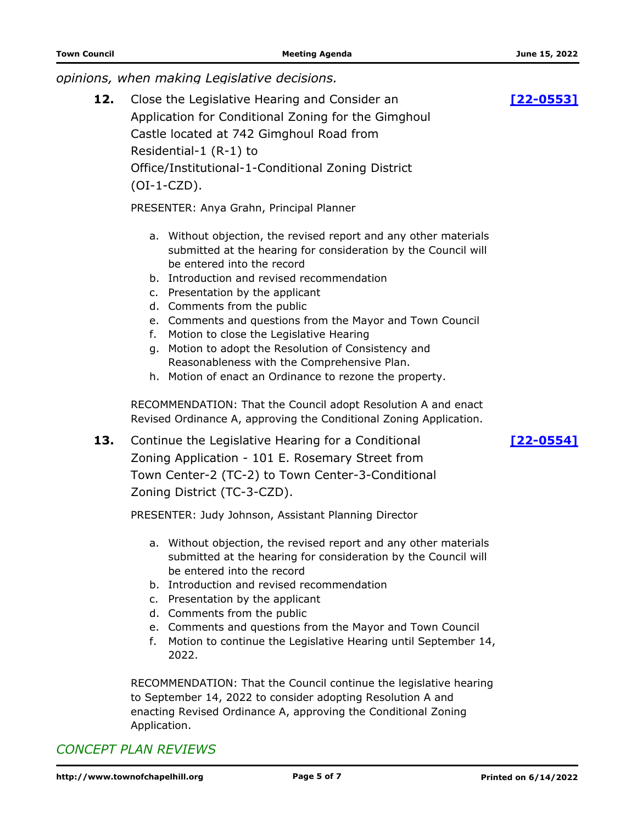*opinions, when making Legislative decisions.*

Close the Legislative Hearing and Consider an **12. [\[22-0553\]](http://chapelhill.legistar.com/gateway.aspx?m=l&id=/matter.aspx?key=8031)** Application for Conditional Zoning for the Gimghoul Castle located at 742 Gimghoul Road from Residential-1 (R-1) to Office/Institutional-1-Conditional Zoning District (OI-1-CZD).

PRESENTER: Anya Grahn, Principal Planner

- a. Without objection, the revised report and any other materials submitted at the hearing for consideration by the Council will be entered into the record
- b. Introduction and revised recommendation
- c. Presentation by the applicant
- d. Comments from the public
- e. Comments and questions from the Mayor and Town Council
- f. Motion to close the Legislative Hearing
- g. Motion to adopt the Resolution of Consistency and Reasonableness with the Comprehensive Plan.
- h. Motion of enact an Ordinance to rezone the property.

RECOMMENDATION: That the Council adopt Resolution A and enact Revised Ordinance A, approving the Conditional Zoning Application.

**13.** Continue the Legislative Hearing for a Conditional [\[22-0554\]](http://chapelhill.legistar.com/gateway.aspx?m=l&id=/matter.aspx?key=8062) Zoning Application - 101 E. Rosemary Street from Town Center-2 (TC-2) to Town Center-3-Conditional Zoning District (TC-3-CZD).

PRESENTER: Judy Johnson, Assistant Planning Director

- a. Without objection, the revised report and any other materials submitted at the hearing for consideration by the Council will be entered into the record
- b. Introduction and revised recommendation
- c. Presentation by the applicant
- d. Comments from the public
- e. Comments and questions from the Mayor and Town Council
- f. Motion to continue the Legislative Hearing until September 14, 2022.

RECOMMENDATION: That the Council continue the legislative hearing to September 14, 2022 to consider adopting Resolution A and enacting Revised Ordinance A, approving the Conditional Zoning Application.

# *CONCEPT PLAN REVIEWS*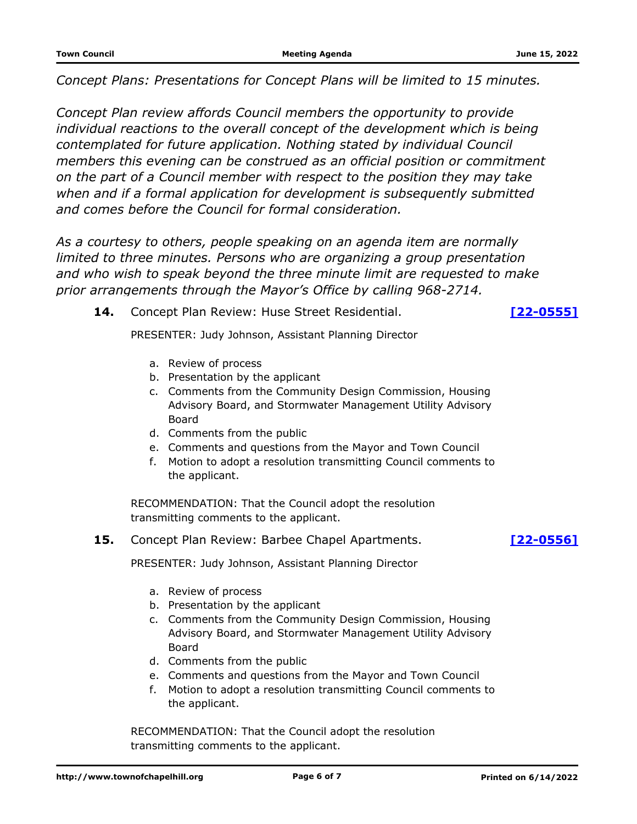*Concept Plans: Presentations for Concept Plans will be limited to 15 minutes.*

*Concept Plan review affords Council members the opportunity to provide individual reactions to the overall concept of the development which is being contemplated for future application. Nothing stated by individual Council members this evening can be construed as an official position or commitment on the part of a Council member with respect to the position they may take when and if a formal application for development is subsequently submitted and comes before the Council for formal consideration.*

*As a courtesy to others, people speaking on an agenda item are normally limited to three minutes. Persons who are organizing a group presentation and who wish to speak beyond the three minute limit are requested to make prior arrangements through the Mayor's Office by calling 968-2714.*

**14.** Concept Plan Review: Huse Street Residential. **[\[22-0555\]](http://chapelhill.legistar.com/gateway.aspx?m=l&id=/matter.aspx?key=8060)**

PRESENTER: Judy Johnson, Assistant Planning Director

- a. Review of process
- b. Presentation by the applicant
- c. Comments from the Community Design Commission, Housing Advisory Board, and Stormwater Management Utility Advisory Board
- d. Comments from the public
- e. Comments and questions from the Mayor and Town Council
- f. Motion to adopt a resolution transmitting Council comments to the applicant.

RECOMMENDATION: That the Council adopt the resolution transmitting comments to the applicant.

**15.** Concept Plan Review: Barbee Chapel Apartments. **[\[22-0556\]](http://chapelhill.legistar.com/gateway.aspx?m=l&id=/matter.aspx?key=8091)**

PRESENTER: Judy Johnson, Assistant Planning Director

- a. Review of process
- b. Presentation by the applicant
- c. Comments from the Community Design Commission, Housing Advisory Board, and Stormwater Management Utility Advisory Board
- d. Comments from the public
- e. Comments and questions from the Mayor and Town Council
- f. Motion to adopt a resolution transmitting Council comments to the applicant.

RECOMMENDATION: That the Council adopt the resolution transmitting comments to the applicant.